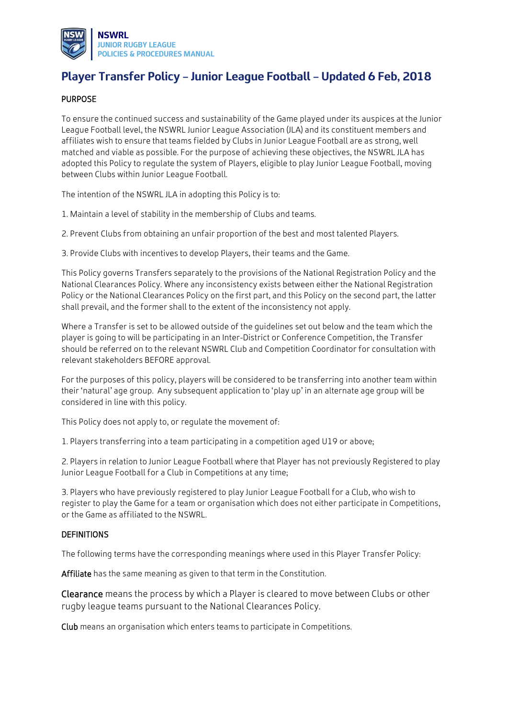

# **Player Transfer Policy – Junior League Football – Updated 6 Feb, 2018**

#### PURPOSE

To ensure the continued success and sustainability of the Game played under its auspices at the Junior League Football level, the NSWRL Junior League Association (JLA) and its constituent members and affiliates wish to ensure that teams fielded by Clubs in Junior League Football are as strong, well matched and viable as possible. For the purpose of achieving these objectives, the NSWRL JLA has adopted this Policy to regulate the system of Players, eligible to play Junior League Football, moving between Clubs within Junior League Football.

The intention of the NSWRL JLA in adopting this Policy is to:

- 1. Maintain a level of stability in the membership of Clubs and teams.
- 2. Prevent Clubs from obtaining an unfair proportion of the best and most talented Players.

3. Provide Clubs with incentives to develop Players, their teams and the Game.

This Policy governs Transfers separately to the provisions of the National Registration Policy and the National Clearances Policy. Where any inconsistency exists between either the National Registration Policy or the National Clearances Policy on the first part, and this Policy on the second part, the latter shall prevail, and the former shall to the extent of the inconsistency not apply.

Where a Transfer is set to be allowed outside of the guidelines set out below and the team which the player is going to will be participating in an Inter-District or Conference Competition, the Transfer should be referred on to the relevant NSWRL Club and Competition Coordinator for consultation with relevant stakeholders BEFORE approval.

For the purposes of this policy, players will be considered to be transferring into another team within their 'natural' age group. Any subsequent application to 'play up' in an alternate age group will be considered in line with this policy.

This Policy does not apply to, or regulate the movement of:

1. Players transferring into a team participating in a competition aged U19 or above;

2. Players in relation to Junior League Football where that Player has not previously Registered to play Junior League Football for a Club in Competitions at any time;

3. Players who have previously registered to play Junior League Football for a Club, who wish to register to play the Game for a team or organisation which does not either participate in Competitions, or the Game as affiliated to the NSWRL.

#### DEFINITIONS

The following terms have the corresponding meanings where used in this Player Transfer Policy:

Affiliate has the same meaning as given to that term in the Constitution.

Clearance means the process by which a Player is cleared to move between Clubs or other rugby league teams pursuant to the National Clearances Policy.

Club means an organisation which enters teams to participate in Competitions.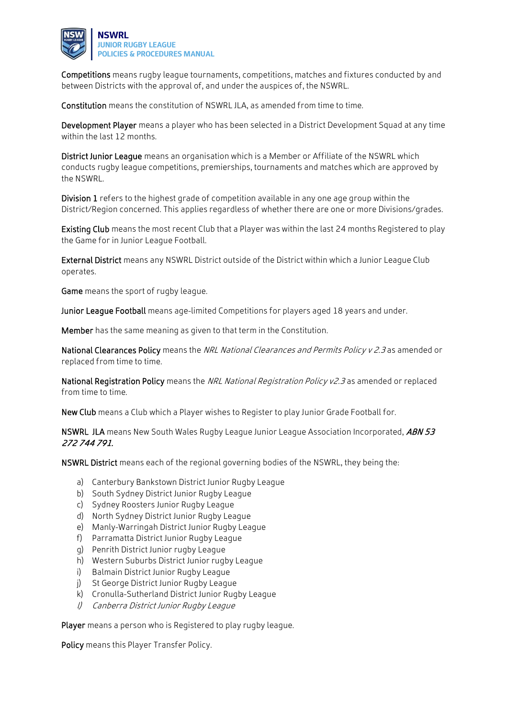

Competitions means rugby league tournaments, competitions, matches and fixtures conducted by and between Districts with the approval of, and under the auspices of, the NSWRL.

Constitution means the constitution of NSWRL JLA, as amended from time to time.

Development Player means a player who has been selected in a District Development Squad at any time within the last 12 months.

District Junior League means an organisation which is a Member or Affiliate of the NSWRL which conducts rugby league competitions, premierships, tournaments and matches which are approved by the NSWRL.

Division 1 refers to the highest grade of competition available in any one age group within the District/Region concerned. This applies regardless of whether there are one or more Divisions/grades.

Existing Club means the most recent Club that a Player was within the last 24 months Registered to play the Game for in Junior League Football.

External District means any NSWRL District outside of the District within which a Junior League Club operates.

Game means the sport of rugby league.

Junior League Football means age-limited Competitions for players aged 18 years and under.

Member has the same meaning as given to that term in the Constitution.

National Clearances Policy means the NRL National Clearances and Permits Policy v 2.3 as amended or replaced from time to time.

National Registration Policy means the NRL National Registration Policy v2.3 as amended or replaced from time to time.

New Club means a Club which a Player wishes to Register to play Junior Grade Football for.

NSWRL JLA means New South Wales Rugby League Junior League Association Incorporated, ABN 53 272 744 791.

NSWRL District means each of the regional governing bodies of the NSWRL, they being the:

- a) Canterbury Bankstown District Junior Rugby League
- b) South Sydney District Junior Rugby League
- c) Sydney Roosters Junior Rugby League
- d) North Sydney District Junior Rugby League
- e) Manly-Warringah District Junior Rugby League
- f) Parramatta District Junior Rugby League
- g) Penrith District Junior rugby League
- h) Western Suburbs District Junior rugby League
- i) Balmain District Junior Rugby League
- j) St George District Junior Rugby League
- k) Cronulla-Sutherland District Junior Rugby League
- l) Canberra District Junior Rugby League

Player means a person who is Registered to play rugby league.

Policy means this Player Transfer Policy.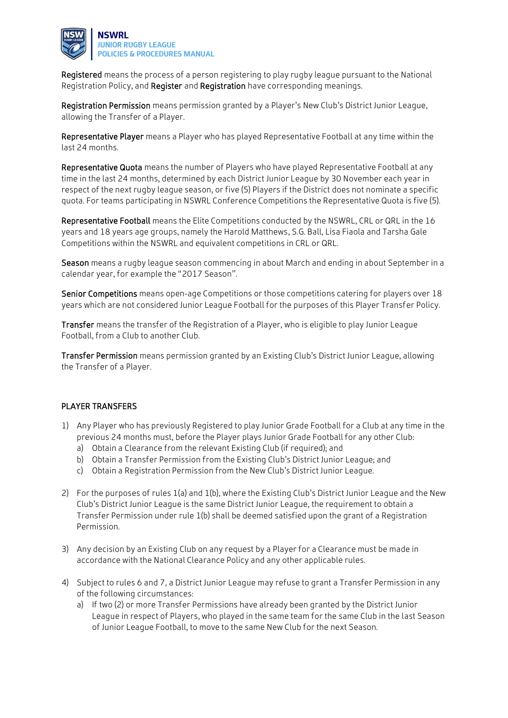

Registered means the process of a person registering to play rugby league pursuant to the National Registration Policy, and Register and Registration have corresponding meanings.

Registration Permission means permission granted by a Player's New Club's District Junior League, allowing the Transfer of a Player.

Representative Player means a Player who has played Representative Football at any time within the last 24 months.

Representative Quota means the number of Players who have played Representative Football at any time in the last 24 months, determined by each District Junior League by 30 November each year in respect of the next rugby league season, or five (5) Players if the District does not nominate a specific quota. For teams participating in NSWRL Conference Competitions the Representative Quota is five (5).

Representative Football means the Elite Competitions conducted by the NSWRL, CRL or QRL in the 16 years and 18 years age groups, namely the Harold Matthews, S.G. Ball, Lisa Fiaola and Tarsha Gale Competitions within the NSWRL and equivalent competitions in CRL or QRL.

Season means a rugby league season commencing in about March and ending in about September in a calendar year, for example the "2017 Season".

Senior Competitions means open-age Competitions or those competitions catering for players over 18 years which are not considered Junior League Football for the purposes of this Player Transfer Policy.

Transfer means the transfer of the Registration of a Player, who is eligible to play Junior League Football, from a Club to another Club.

Transfer Permission means permission granted by an Existing Club's District Junior League, allowing the Transfer of a Player.

## PLAYER TRANSFERS

- 1) Any Player who has previously Registered to play Junior Grade Football for a Club at any time in the previous 24 months must, before the Player plays Junior Grade Football for any other Club:
	- a) Obtain a Clearance from the relevant Existing Club (if required); and
	- b) Obtain a Transfer Permission from the Existing Club's District Junior League; and
	- c) Obtain a Registration Permission from the New Club's District Junior League.
- 2) For the purposes of rules 1(a) and 1(b), where the Existing Club's District Junior League and the New Club's District Junior League is the same District Junior League, the requirement to obtain a Transfer Permission under rule 1(b) shall be deemed satisfied upon the grant of a Registration Permission.
- 3) Any decision by an Existing Club on any request by a Player for a Clearance must be made in accordance with the National Clearance Policy and any other applicable rules.
- 4) Subject to rules 6 and 7, a District Junior League may refuse to grant a Transfer Permission in any of the following circumstances:
	- a) If two (2) or more Transfer Permissions have already been granted by the District Junior League in respect of Players, who played in the same team for the same Club in the last Season of Junior League Football, to move to the same New Club for the next Season.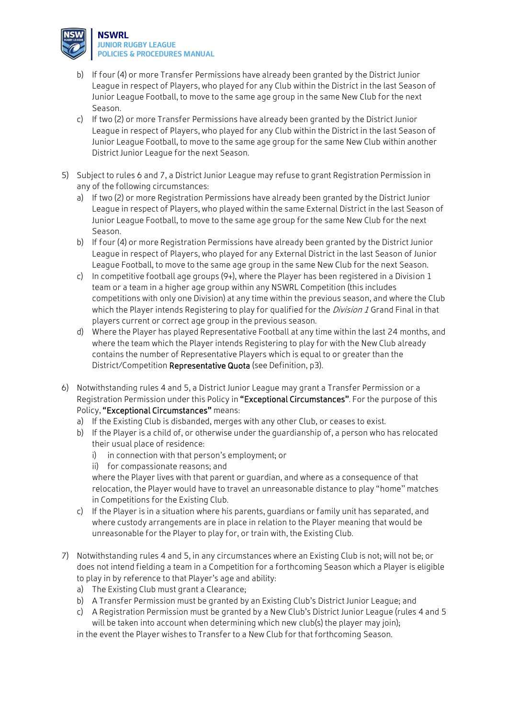

- b) If four (4) or more Transfer Permissions have already been granted by the District Junior League in respect of Players, who played for any Club within the District in the last Season of Junior League Football, to move to the same age group in the same New Club for the next Season.
- c) If two (2) or more Transfer Permissions have already been granted by the District Junior League in respect of Players, who played for any Club within the District in the last Season of Junior League Football, to move to the same age group for the same New Club within another District Junior League for the next Season.
- 5) Subject to rules 6 and 7, a District Junior League may refuse to grant Registration Permission in any of the following circumstances:
	- a) If two (2) or more Registration Permissions have already been granted by the District Junior League in respect of Players, who played within the same External District in the last Season of Junior League Football, to move to the same age group for the same New Club for the next Season.
	- b) If four (4) or more Registration Permissions have already been granted by the District Junior League in respect of Players, who played for any External District in the last Season of Junior League Football, to move to the same age group in the same New Club for the next Season.
	- c) In competitive football age groups (9+), where the Player has been registered in a Division 1 team or a team in a higher age group within any NSWRL Competition (this includes competitions with only one Division) at any time within the previous season, and where the Club which the Player intends Registering to play for qualified for the *Division 1* Grand Final in that players current or correct age group in the previous season.
	- d) Where the Player has played Representative Football at any time within the last 24 months, and where the team which the Player intends Registering to play for with the New Club already contains the number of Representative Players which is equal to or greater than the District/Competition Representative Quota (see Definition, p3).
- 6) Notwithstanding rules 4 and 5, a District Junior League may grant a Transfer Permission or a Registration Permission under this Policy in "Exceptional Circumstances". For the purpose of this Policy, "Exceptional Circumstances" means:
	- a) If the Existing Club is disbanded, merges with any other Club, or ceases to exist.
	- b) If the Player is a child of, or otherwise under the guardianship of, a person who has relocated their usual place of residence:
		- i) in connection with that person's employment; or
		- ii) for compassionate reasons; and

where the Player lives with that parent or guardian, and where as a consequence of that relocation, the Player would have to travel an unreasonable distance to play "home" matches in Competitions for the Existing Club.

- c) If the Player is in a situation where his parents, guardians or family unit has separated, and where custody arrangements are in place in relation to the Player meaning that would be unreasonable for the Player to play for, or train with, the Existing Club.
- 7) Notwithstanding rules 4 and 5, in any circumstances where an Existing Club is not; will not be; or does not intend fielding a team in a Competition for a forthcoming Season which a Player is eligible to play in by reference to that Player's age and ability:
	- a) The Existing Club must grant a Clearance;
	- b) A Transfer Permission must be granted by an Existing Club's District Junior League; and
	- c) A Registration Permission must be granted by a New Club's District Junior League (rules 4 and 5 will be taken into account when determining which new club(s) the player may join);

in the event the Player wishes to Transfer to a New Club for that forthcoming Season.